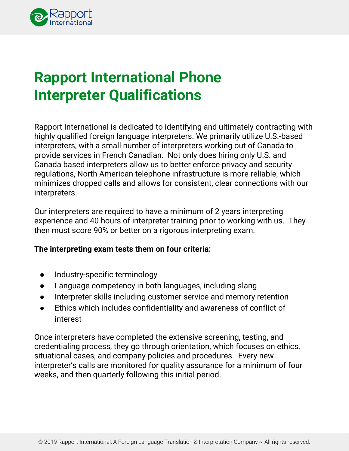

## **Rapport International Phone Interpreter Qualifications**

Rapport International is dedicated to identifying and ultimately contracting with highly qualified foreign language interpreters. We primarily utilize U.S.-based interpreters, with a small number of interpreters working out of Canada to provide services in French Canadian. Not only does hiring only U.S. and Canada based interpreters allow us to better enforce privacy and security regulations, North American telephone infrastructure is more reliable, which minimizes dropped calls and allows for consistent, clear connections with our interpreters.

Our interpreters are required to have a minimum of 2 years interpreting experience and 40 hours of interpreter training prior to working with us. They then must score 90% or better on a rigorous interpreting exam.

#### **The interpreting exam tests them on four criteria:**

- Industry-specific terminology
- Language competency in both languages, including slang
- Interpreter skills including customer service and memory retention
- Ethics which includes confidentiality and awareness of conflict of interest

Once interpreters have completed the extensive screening, testing, and credentialing process, they go through orientation, which focuses on ethics, situational cases, and company policies and procedures. Every new interpreter's calls are monitored for quality assurance for a minimum of four weeks, and then quarterly following this initial period.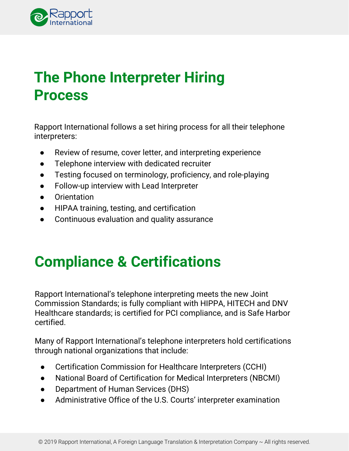

### **The Phone Interpreter Hiring Process**

Rapport International follows a set hiring process for all their telephone interpreters:

- Review of resume, cover letter, and interpreting experience
- Telephone interview with dedicated recruiter
- Testing focused on terminology, proficiency, and role-playing
- Follow-up interview with Lead Interpreter
- Orientation
- HIPAA training, testing, and certification
- Continuous evaluation and quality assurance

# **Compliance & Certifications**

Rapport International's telephone interpreting meets the new Joint Commission Standards; is fully compliant with HIPPA, HITECH and DNV Healthcare standards; is certified for PCI compliance, and is Safe Harbor certified.

Many of Rapport International's telephone interpreters hold certifications through national organizations that include:

- Certification Commission for Healthcare Interpreters (CCHI)
- National Board of Certification for Medical Interpreters (NBCMI)
- Department of Human Services (DHS)
- Administrative Office of the U.S. Courts' interpreter examination